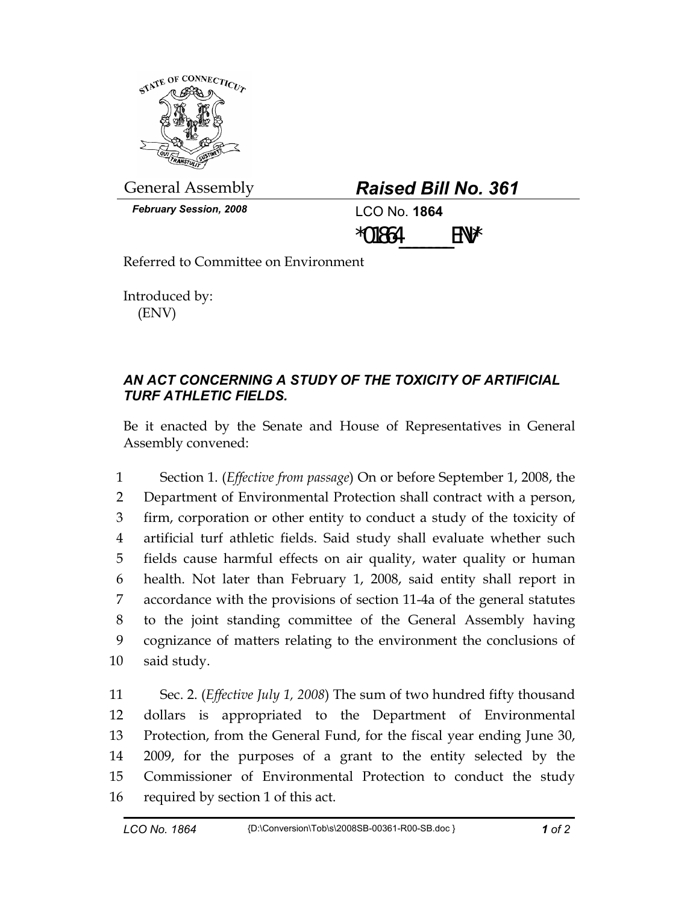

General Assembly *Raised Bill No. 361* 

| <b>Raised Bill No. 361</b> |  |  |
|----------------------------|--|--|
|----------------------------|--|--|

*February Session, 2008* LCO No. **1864**

 $*01864$  ENV\*

Referred to Committee on Environment

Introduced by: (ENV)

## *AN ACT CONCERNING A STUDY OF THE TOXICITY OF ARTIFICIAL TURF ATHLETIC FIELDS.*

Be it enacted by the Senate and House of Representatives in General Assembly convened:

1 Section 1. (*Effective from passage*) On or before September 1, 2008, the 2 Department of Environmental Protection shall contract with a person, 3 firm, corporation or other entity to conduct a study of the toxicity of 4 artificial turf athletic fields. Said study shall evaluate whether such 5 fields cause harmful effects on air quality, water quality or human 6 health. Not later than February 1, 2008, said entity shall report in 7 accordance with the provisions of section 11-4a of the general statutes 8 to the joint standing committee of the General Assembly having 9 cognizance of matters relating to the environment the conclusions of 10 said study.

11 Sec. 2. (*Effective July 1, 2008*) The sum of two hundred fifty thousand 12 dollars is appropriated to the Department of Environmental 13 Protection, from the General Fund, for the fiscal year ending June 30, 14 2009, for the purposes of a grant to the entity selected by the 15 Commissioner of Environmental Protection to conduct the study 16 required by section 1 of this act.